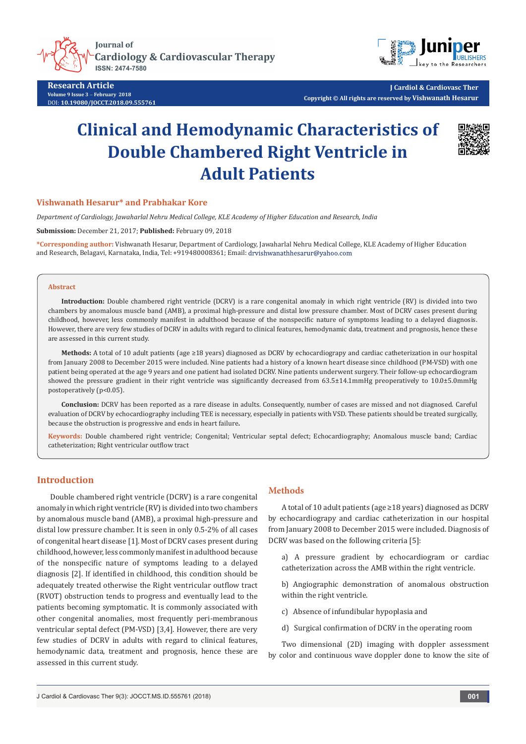**Journal of Cardiology & Cardiovascular Therapy ISSN: 2474-7580** 



**Research Article Volume 9 Issue 3** - **February 2018** DOI: **[10.19080/JOCCT.2018.09.555761](http://dx.doi.org/10.19080/JOCCT.2018.09.555761)**

**J Cardiol & Cardiovasc Ther Copyright © All rights are reserved by Vishwanath Hesarur**

# **Clinical and Hemodynamic Characteristics of Double Chambered Right Ventricle in Adult Patients**



#### **Vishwanath Hesarur\* and Prabhakar Kore**

*Department of Cardiology, Jawaharlal Nehru Medical College, KLE Academy of Higher Education and Research, India*

**Submission:** December 21, 2017; **Published:** February 09, 2018

**\*Corresponding author:** Vishwanath Hesarur, Department of Cardiology, Jawaharlal Nehru Medical College, KLE Academy of Higher Education and Research, Belagavi, Karnataka, India, Tel: +919480008361; Email: drvishwanathhesarur@yahoo.com

#### **Abstract**

**Introduction:** Double chambered right ventricle (DCRV) is a rare congenital anomaly in which right ventricle (RV) is divided into two chambers by anomalous muscle band (AMB), a proximal high-pressure and distal low pressure chamber. Most of DCRV cases present during childhood, however, less commonly manifest in adulthood because of the nonspecific nature of symptoms leading to a delayed diagnosis. However, there are very few studies of DCRV in adults with regard to clinical features, hemodynamic data, treatment and prognosis, hence these are assessed in this current study.

**Methods:** A total of 10 adult patients (age ≥18 years) diagnosed as DCRV by echocardiograpy and cardiac catheterization in our hospital from January 2008 to December 2015 were included. Nine patients had a history of a known heart disease since childhood (PM-VSD) with one patient being operated at the age 9 years and one patient had isolated DCRV. Nine patients underwent surgery. Their follow-up echocardiogram showed the pressure gradient in their right ventricle was significantly decreased from 63.5±14.1mmHg preoperatively to 10.0±5.0mmHg postoperatively (p<0.05).

**Conclusion:** DCRV has been reported as a rare disease in adults. Consequently, number of cases are missed and not diagnosed. Careful evaluation of DCRV by echocardiography including TEE is necessary, especially in patients with VSD. These patients should be treated surgically, because the obstruction is progressive and ends in heart failure**.**

**Keywords:** Double chambered right ventricle; Congenital; Ventricular septal defect; Echocardiography; Anomalous muscle band; Cardiac catheterization; Right ventricular outflow tract

# **Introduction**

Double chambered right ventricle (DCRV) is a rare congenital anomaly in which right ventricle (RV) is divided into two chambers by anomalous muscle band (AMB), a proximal high-pressure and distal low pressure chamber. It is seen in only 0.5-2% of all cases of congenital heart disease [1]. Most of DCRV cases present during childhood, however, less commonly manifest in adulthood because of the nonspecific nature of symptoms leading to a delayed diagnosis [2]. If identified in childhood, this condition should be adequately treated otherwise the Right ventricular outflow tract (RVOT) obstruction tends to progress and eventually lead to the patients becoming symptomatic. It is commonly associated with other congenital anomalies, most frequently peri-membranous ventricular septal defect (PM-VSD) [3,4]. However, there are very few studies of DCRV in adults with regard to clinical features, hemodynamic data, treatment and prognosis, hence these are assessed in this current study.

#### **Methods**

A total of 10 adult patients (age ≥18 years) diagnosed as DCRV by echocardiograpy and cardiac catheterization in our hospital from January 2008 to December 2015 were included. Diagnosis of DCRV was based on the following criteria [5]:

a) A pressure gradient by echocardiogram or cardiac catheterization across the AMB within the right ventricle.

b) Angiographic demonstration of anomalous obstruction within the right ventricle.

c) Absence of infundibular hypoplasia and

d) Surgical confirmation of DCRV in the operating room

Two dimensional (2D) imaging with doppler assessment by color and continuous wave doppler done to know the site of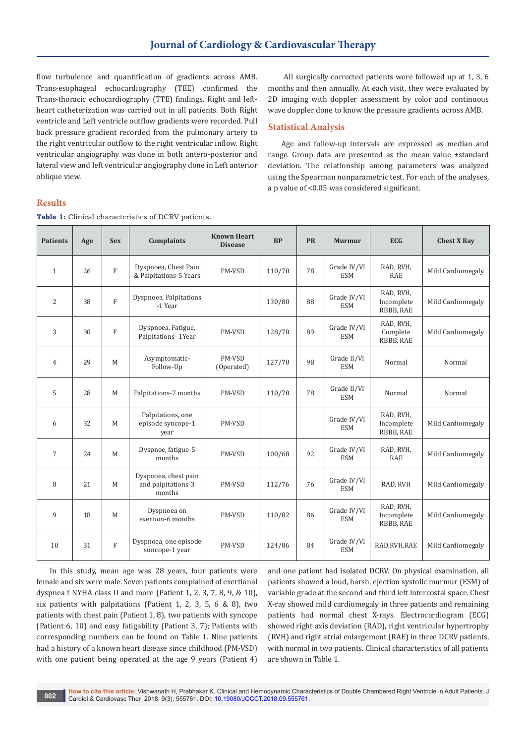flow turbulence and quantification of gradients across AMB. Trans-esophageal echocardiography (TEE) confirmed the Trans-thoracic echocardiography (TTE) findings. Right and leftheart catheterization was carried out in all patients. Both Right ventricle and Left ventricle outflow gradients were recorded. Pull back pressure gradient recorded from the pulmonary artery to the right ventricular outflow to the right ventricular inflow. Right ventricular angiography was done in both antero-posterior and lateral view and left ventricular angiography done in Left anterior oblique view.

 All surgically corrected patients were followed up at 1, 3, 6 months and then annually. At each visit, they were evaluated by 2D imaging with doppler assessment by color and continuous wave doppler done to know the pressure gradients across AMB.

### **Statistical Analysis**

Age and follow-up intervals are expressed as median and range. Group data are presented as the mean value ±standard deviation. The relationship among parameters was analyzed using the Spearman nonparametric test. For each of the analyses, a p value of <0.05 was considered significant.

#### **Results**

| <b>Patients</b> | Age | <b>Sex</b>   | <b>Complaints</b>                                    | <b>Known Heart</b><br><b>Disease</b> | <b>BP</b> | <b>PR</b> | <b>Murmur</b>             | <b>ECG</b>                           | <b>Chest X Ray</b> |  |
|-----------------|-----|--------------|------------------------------------------------------|--------------------------------------|-----------|-----------|---------------------------|--------------------------------------|--------------------|--|
| $\mathbf{1}$    | 26  | F            | Dyspnoea, Chest Pain<br>& Palpitations-5 Years       | PM-VSD                               | 110/70    | 78        | Grade IV/VI<br><b>ESM</b> | RAD, RVH,<br><b>RAE</b>              | Mild Cardiomegaly  |  |
| 2               | 38  | $\mathbf{F}$ | Dyspnoea, Palpitations<br>-1 Year                    |                                      | 130/80    | 88        | Grade IV/VI<br><b>ESM</b> | RAD, RVH,<br>Incomplete<br>RBBB, RAE | Mild Cardiomegaly  |  |
| 3               | 30  | F            | Dyspnoea, Fatigue,<br>Palpitations- 1Year            | PM-VSD                               | 128/70    | 89        | Grade IV/VI<br><b>ESM</b> | RAD, RVH,<br>Complete<br>RBBB, RAE   | Mild Cardiomegaly  |  |
| $\overline{4}$  | 29  | M            | Asymptomatic-<br>Follow-Up                           | PM-VSD<br>(Operated)                 | 127/70    | 98        | Grade II/VI<br><b>ESM</b> | Normal                               | Normal             |  |
| 5               | 28  | M            | Palpitations-7 months                                | PM-VSD                               | 110/70    | 78        | Grade II/VI<br><b>ESM</b> | Normal                               | Normal             |  |
| 6               | 32  | M            | Palpitations, one<br>episode syncope-1<br>year       | PM-VSD                               |           |           | Grade IV/VI<br><b>ESM</b> | RAD, RVH,<br>Incomplete<br>RBBB, RAE | Mild Cardiomegaly  |  |
| $\overline{7}$  | 24  | M            | Dyspnoe, fatigue-5<br>months                         | PM-VSD                               | 100/68    | 92        | Grade IV/VI<br><b>ESM</b> | RAD, RVH,<br><b>RAE</b>              | Mild Cardiomegaly  |  |
| 8               | 21  | M            | Dyspnoea, chest pain<br>and palpitations-3<br>months | PM-VSD                               | 112/76    | 76        | Grade IV/VI<br><b>ESM</b> | RAD, RVH                             | Mild Cardiomegaly  |  |
| 9               | 18  | M            | Dyspnoea on<br>exertion-6 months                     | PM-VSD                               | 110/82    | 86        | Grade IV/VI<br><b>ESM</b> | RAD, RVH,<br>Incomplete<br>RBBB, RAE | Mild Cardiomegaly  |  |
| 10              | 31  | F            | Dyspnoea, one episode<br>suncope-1 year              | PM-VSD                               | 124/86    | 84        | Grade IV/VI<br><b>ESM</b> | RAD, RVH, RAE                        | Mild Cardiomegaly  |  |

**Table 1:** Clinical characteristics of DCRV patients.

In this study, mean age was 28 years, four patients were female and six were male. Seven patients complained of exertional dyspnea f NYHA class II and more (Patient 1, 2, 3, 7, 8, 9, & 10), six patients with palpitations (Patient 1, 2, 3, 5, 6 & 8), two patients with chest pain (Patient 1, 8), two patients with syncope (Patient 6, 10) and easy fatigability (Patient 3, 7); Patients with corresponding numbers can be found on Table 1. Nine patients had a history of a known heart disease since childhood (PM-VSD) with one patient being operated at the age 9 years (Patient 4)

and one patient had isolated DCRV. On physical examination, all patients showed a loud, harsh, ejection systolic murmur (ESM) of variable grade at the second and third left intercostal space. Chest X-ray showed mild cardiomegaly in three patients and remaining patients had normal chest X-rays. Electrocardiogram (ECG) showed right axis deviation (RAD), right ventricular hypertrophy (RVH) and right atrial enlargement (RAE) in three DCRV patients, with normal in two patients. Clinical characteristics of all patients are shown in Table 1.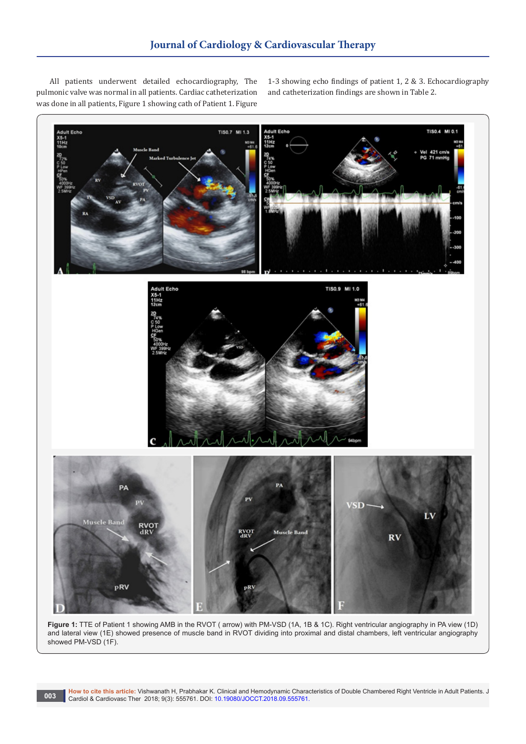All patients underwent detailed echocardiography, The pulmonic valve was normal in all patients. Cardiac catheterization was done in all patients, Figure 1 showing cath of Patient 1. Figure 1-3 showing echo findings of patient 1, 2 & 3. Echocardiography and catheterization findings are shown in Table 2.



**Figure 1:** TTE of Patient 1 showing AMB in the RVOT ( arrow) with PM-VSD (1A, 1B & 1C). Right ventricular angiography in PA view (1D) and lateral view (1E) showed presence of muscle band in RVOT dividing into proximal and distal chambers, left ventricular angiography showed PM-VSD (1F).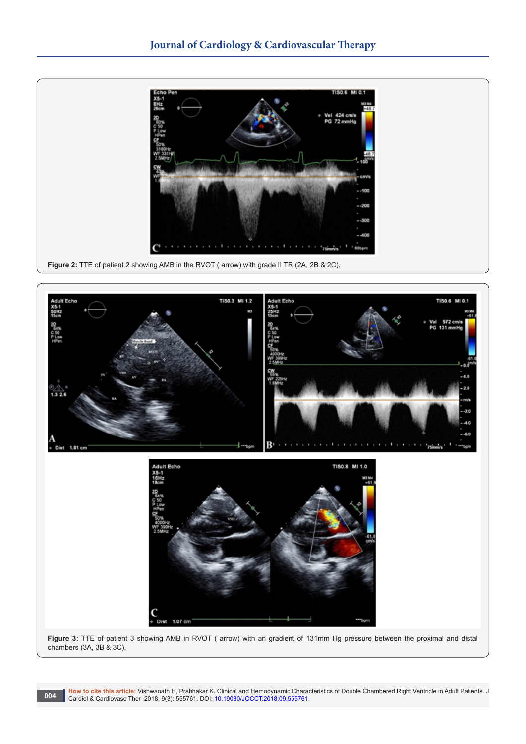



**How to cite this article:** Vishwanath H, Prabhakar K. Clinical and Hemodynamic Characteristics of Double Chambered Right Ventricle in Adult Patients. J 004 **Cardiol & Cardiovasc Ther 2018; 9(3): 555761.** DOI: [10.19080/JOCCT.2018.09.555761.](http://dx.doi.org/10.19080/JOCCT.2018.09.555761)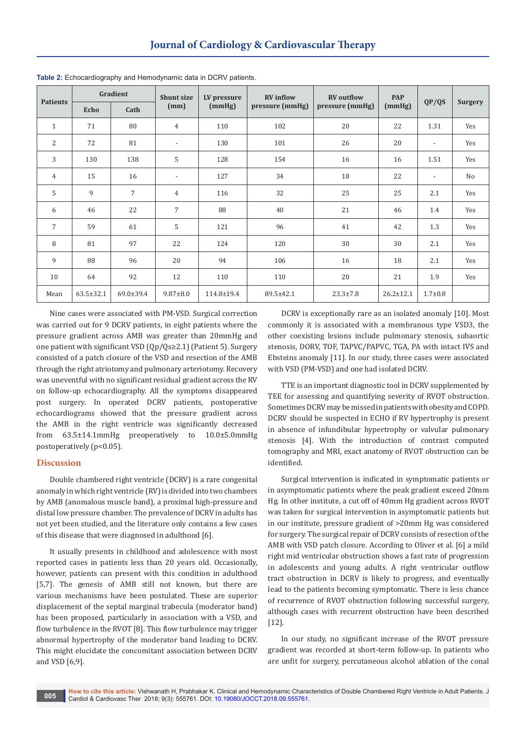| <b>Patients</b> |                 | Gradient       | <b>Shunt size</b>        | LV pressure | <b>RV</b> inflow | <b>RV</b> outflow | <b>PAP</b>      |                          |                |
|-----------------|-----------------|----------------|--------------------------|-------------|------------------|-------------------|-----------------|--------------------------|----------------|
|                 | Echo            | Cath           | (mm)                     | (mmHg)      | pressure (mmHg)  | pressure (mmHg)   | (mmHg)          | QP/QS                    | <b>Surgery</b> |
| $\mathbf{1}$    | 71              | 80             | $\overline{4}$           | 110         | 102              | 20                | 22              | 1.31                     | Yes            |
| 2               | 72              | 81             | $\overline{a}$           | 130         | 101              | 26                | 20              | $\overline{\phantom{a}}$ | Yes            |
| 3               | 130             | 138            | 5                        | 128         | 154              | 16                | 16              | 1.51                     | Yes            |
| $\overline{4}$  | 15              | 16             | $\overline{\phantom{a}}$ | 127         | 34               | 18                | 22              | $\overline{\phantom{a}}$ | No             |
| 5               | 9               | $\overline{7}$ | $\overline{4}$           | 116         | 32               | 25                | 25              | 2.1                      | Yes            |
| 6               | 46              | 22             | $\overline{7}$           | 88          | 40               | 21                | 46              | 1.4                      | Yes            |
| $\overline{7}$  | 59              | 61             | 5                        | 121         | 96               | 41                | 42              | 1.3                      | Yes            |
| 8               | 81              | 97             | 22                       | 124         | 120              | 30                | 30              | 2.1                      | Yes            |
| 9               | 88              | 96             | 20                       | 94          | 106              | 16                | 18              | 2.1                      | Yes            |
| 10              | 64              | 92             | 12                       | 110         | 110              | 20                | 21              | 1.9                      | Yes            |
| Mean            | $63.5 \pm 32.1$ | 69.0±39.4      | $9.87 \pm 8.0$           | 114.8±19.4  | 89.5±42.1        | $23.3 \pm 7.8$    | $26.2 \pm 12.1$ | $1.7 + 0.8$              |                |

**Table 2:** Echocardiography and Hemodynamic data in DCRV patients.

Nine cases were associated with PM-VSD. Surgical correction was carried out for 9 DCRV patients, in eight patients where the pressure gradient across AMB was greater than 20mmHg and one patient with significant VSD (Qp/Qs≥2.1) (Patient 5). Surgery consisted of a patch closure of the VSD and resection of the AMB through the right atriotomy and pulmonary arteriotomy. Recovery was uneventful with no significant residual gradient across the RV on follow-up echocardiography. All the symptoms disappeared post surgery. In operated DCRV patients, postoperative echocardiograms showed that the pressure gradient across the AMB in the right ventricle was significantly decreased from 63.5±14.1mmHg preoperatively to 10.0±5.0mmHg postoperatively (p<0.05).

## **Discussion**

Double chambered right ventricle (DCRV) is a rare congenital anomaly in which right ventricle (RV) is divided into two chambers by AMB (anomalous muscle band), a proximal high-pressure and distal low pressure chamber. The prevalence of DCRV in adults has not yet been studied, and the literature only contains a few cases of this disease that were diagnosed in adulthood [6].

It usually presents in childhood and adolescence with most reported cases in patients less than 20 years old. Occasionally, however, patients can present with this condition in adulthood [5,7]. The genesis of AMB still not known, but there are various mechanisms have been postulated. These are superior displacement of the septal marginal trabecula (moderator band) has been proposed, particularly in association with a VSD, and flow turbulence in the RVOT [8]. This flow turbulence may trigger abnormal hypertrophy of the moderator band leading to DCRV. This might elucidate the concomitant association between DCRV and VSD [6,9].

DCRV is exceptionally rare as an isolated anomaly [10]. Most commonly it is associated with a membranous type VSD3, the other coexisting lesions include pulmonary stenosis, subaortic stenosis, DORV, TOF, TAPVC/PAPVC, TGA, PA with intact IVS and Ebsteins anomaly [11]. In our study, three cases were associated with VSD (PM-VSD) and one had isolated DCRV.

TTE is an important diagnostic tool in DCRV supplemented by TEE for assessing and quantifying severity of RVOT obstruction. Sometimes DCRV may be missed in patients with obesity and COPD. DCRV should be suspected in ECHO if RV hypertrophy is present in absence of infundibular hypertrophy or valvular pulmonary stenosis [4]. With the introduction of contrast computed tomography and MRI, exact anatomy of RVOT obstruction can be identified.

Surgical intervention is indicated in symptomatic patients or in asymptomatic patients where the peak gradient exceed 20mm Hg. In other institute, a cut off of 40mm Hg gradient across RVOT was taken for surgical intervention in asymptomatic patients but in our institute, pressure gradient of >20mm Hg was considered for surgery. The surgical repair of DCRV consists of resection of the AMB with VSD patch closure. According to Oliver et al. [6] a mild right mid ventricular obstruction shows a fast rate of progression in adolescents and young adults. A right ventricular outflow tract obstruction in DCRV is likely to progress, and eventually lead to the patients becoming symptomatic. There is less chance of recurrence of RVOT obstruction following successful surgery, although cases with recurrent obstruction have been described [12].

In our study, no significant increase of the RVOT pressure gradient was recorded at short-term follow-up. In patients who are unfit for surgery, percutaneous alcohol ablation of the conal